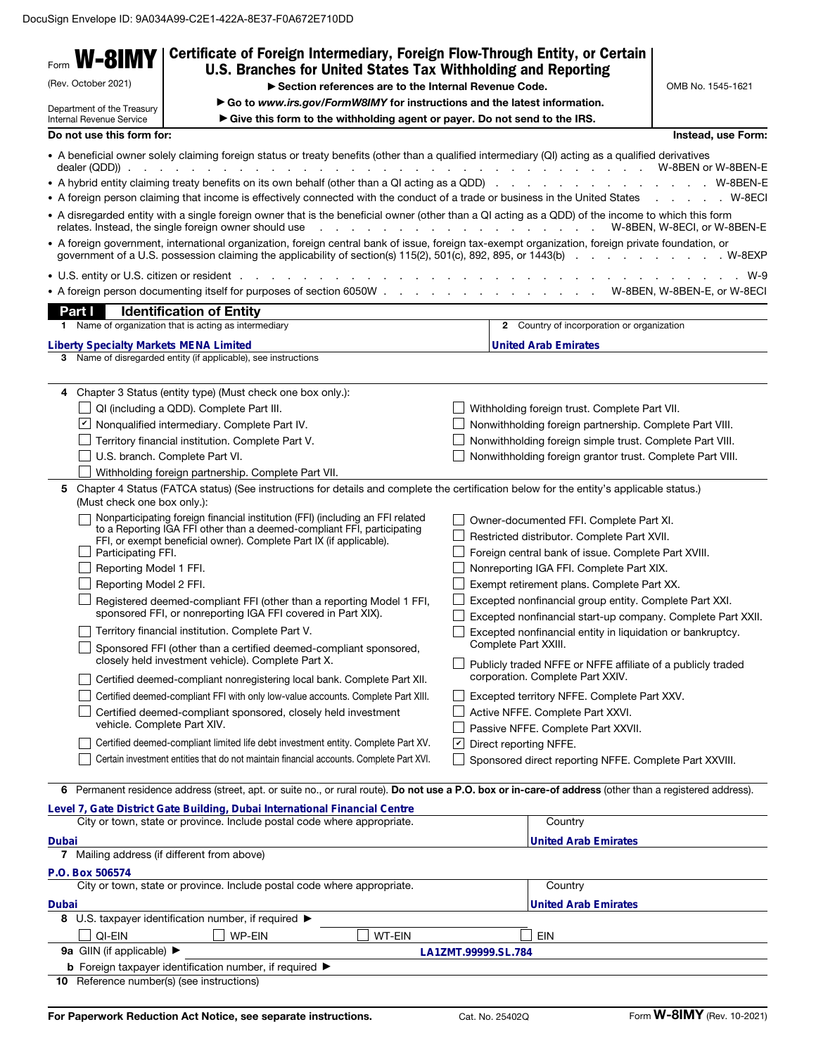| Form <b>W-8IMY</b>                                                                                    | Certificate of Foreign Intermediary, Foreign Flow-Through Entity, or Certain                                                                                                                                                                                                                                                                                                                                                                                                                                                                             |   |                                                                                                                                                                                                                                                                                                                                                                                                                                                                                                                                                           |                             |
|-------------------------------------------------------------------------------------------------------|----------------------------------------------------------------------------------------------------------------------------------------------------------------------------------------------------------------------------------------------------------------------------------------------------------------------------------------------------------------------------------------------------------------------------------------------------------------------------------------------------------------------------------------------------------|---|-----------------------------------------------------------------------------------------------------------------------------------------------------------------------------------------------------------------------------------------------------------------------------------------------------------------------------------------------------------------------------------------------------------------------------------------------------------------------------------------------------------------------------------------------------------|-----------------------------|
| (Rev. October 2021)                                                                                   | U.S. Branches for United States Tax Withholding and Reporting                                                                                                                                                                                                                                                                                                                                                                                                                                                                                            |   |                                                                                                                                                                                                                                                                                                                                                                                                                                                                                                                                                           |                             |
|                                                                                                       | Section references are to the Internal Revenue Code.                                                                                                                                                                                                                                                                                                                                                                                                                                                                                                     |   |                                                                                                                                                                                                                                                                                                                                                                                                                                                                                                                                                           | OMB No. 1545-1621           |
| Department of the Treasury<br>Internal Revenue Service                                                | Go to www.irs.gov/FormW8IMY for instructions and the latest information.<br>Give this form to the withholding agent or payer. Do not send to the IRS.                                                                                                                                                                                                                                                                                                                                                                                                    |   |                                                                                                                                                                                                                                                                                                                                                                                                                                                                                                                                                           |                             |
| Do not use this form for:                                                                             |                                                                                                                                                                                                                                                                                                                                                                                                                                                                                                                                                          |   |                                                                                                                                                                                                                                                                                                                                                                                                                                                                                                                                                           | Instead, use Form:          |
|                                                                                                       | • A beneficial owner solely claiming foreign status or treaty benefits (other than a qualified intermediary (QI) acting as a qualified derivatives                                                                                                                                                                                                                                                                                                                                                                                                       |   |                                                                                                                                                                                                                                                                                                                                                                                                                                                                                                                                                           |                             |
|                                                                                                       |                                                                                                                                                                                                                                                                                                                                                                                                                                                                                                                                                          |   |                                                                                                                                                                                                                                                                                                                                                                                                                                                                                                                                                           |                             |
|                                                                                                       | • A foreign person claiming that income is effectively connected with the conduct of a trade or business in the United States                                                                                                                                                                                                                                                                                                                                                                                                                            |   |                                                                                                                                                                                                                                                                                                                                                                                                                                                                                                                                                           | . W-8ECI                    |
|                                                                                                       | • A disregarded entity with a single foreign owner that is the beneficial owner (other than a QI acting as a QDD) of the income to which this form<br>relates. Instead, the single foreign owner should use                                                                                                                                                                                                                                                                                                                                              |   | . W-8BEN, W-8ECI, or W-8BEN-E                                                                                                                                                                                                                                                                                                                                                                                                                                                                                                                             |                             |
|                                                                                                       | • A foreign government, international organization, foreign central bank of issue, foreign tax-exempt organization, foreign private foundation, or                                                                                                                                                                                                                                                                                                                                                                                                       |   |                                                                                                                                                                                                                                                                                                                                                                                                                                                                                                                                                           |                             |
|                                                                                                       |                                                                                                                                                                                                                                                                                                                                                                                                                                                                                                                                                          |   |                                                                                                                                                                                                                                                                                                                                                                                                                                                                                                                                                           | W-9                         |
|                                                                                                       |                                                                                                                                                                                                                                                                                                                                                                                                                                                                                                                                                          |   |                                                                                                                                                                                                                                                                                                                                                                                                                                                                                                                                                           | W-8BEN, W-8BEN-E, or W-8ECI |
| Part I                                                                                                | <b>Identification of Entity</b>                                                                                                                                                                                                                                                                                                                                                                                                                                                                                                                          |   |                                                                                                                                                                                                                                                                                                                                                                                                                                                                                                                                                           |                             |
| 1.                                                                                                    | Name of organization that is acting as intermediary                                                                                                                                                                                                                                                                                                                                                                                                                                                                                                      |   | 2 Country of incorporation or organization                                                                                                                                                                                                                                                                                                                                                                                                                                                                                                                |                             |
| <b>Liberty Specialty Markets MENA Limited</b>                                                         |                                                                                                                                                                                                                                                                                                                                                                                                                                                                                                                                                          |   | <b>United Arab Emirates</b>                                                                                                                                                                                                                                                                                                                                                                                                                                                                                                                               |                             |
| 3                                                                                                     | Name of disregarded entity (if applicable), see instructions                                                                                                                                                                                                                                                                                                                                                                                                                                                                                             |   |                                                                                                                                                                                                                                                                                                                                                                                                                                                                                                                                                           |                             |
|                                                                                                       |                                                                                                                                                                                                                                                                                                                                                                                                                                                                                                                                                          |   |                                                                                                                                                                                                                                                                                                                                                                                                                                                                                                                                                           |                             |
| 4                                                                                                     | Chapter 3 Status (entity type) (Must check one box only.):                                                                                                                                                                                                                                                                                                                                                                                                                                                                                               |   |                                                                                                                                                                                                                                                                                                                                                                                                                                                                                                                                                           |                             |
|                                                                                                       | $\Box$ QI (including a QDD). Complete Part III.                                                                                                                                                                                                                                                                                                                                                                                                                                                                                                          |   | $\Box$ Withholding foreign trust. Complete Part VII.                                                                                                                                                                                                                                                                                                                                                                                                                                                                                                      |                             |
|                                                                                                       | $\cup$ Nonqualified intermediary. Complete Part IV.                                                                                                                                                                                                                                                                                                                                                                                                                                                                                                      |   | Nonwithholding foreign partnership. Complete Part VIII.                                                                                                                                                                                                                                                                                                                                                                                                                                                                                                   |                             |
|                                                                                                       | Territory financial institution. Complete Part V.                                                                                                                                                                                                                                                                                                                                                                                                                                                                                                        |   | Nonwithholding foreign simple trust. Complete Part VIII.                                                                                                                                                                                                                                                                                                                                                                                                                                                                                                  |                             |
|                                                                                                       | U.S. branch. Complete Part VI.                                                                                                                                                                                                                                                                                                                                                                                                                                                                                                                           |   | Nonwithholding foreign grantor trust. Complete Part VIII.                                                                                                                                                                                                                                                                                                                                                                                                                                                                                                 |                             |
|                                                                                                       |                                                                                                                                                                                                                                                                                                                                                                                                                                                                                                                                                          |   |                                                                                                                                                                                                                                                                                                                                                                                                                                                                                                                                                           |                             |
|                                                                                                       | Withholding foreign partnership. Complete Part VII.<br>5 Chapter 4 Status (FATCA status) (See instructions for details and complete the certification below for the entity's applicable status.)                                                                                                                                                                                                                                                                                                                                                         |   |                                                                                                                                                                                                                                                                                                                                                                                                                                                                                                                                                           |                             |
| (Must check one box only.):<br>Participating FFI.<br>Reporting Model 1 FFI.<br>Reporting Model 2 FFI. | Nonparticipating foreign financial institution (FFI) (including an FFI related<br>to a Reporting IGA FFI other than a deemed-compliant FFI, participating<br>FFI, or exempt beneficial owner). Complete Part IX (if applicable).<br>Registered deemed-compliant FFI (other than a reporting Model 1 FFI,<br>sponsored FFI, or nonreporting IGA FFI covered in Part XIX).<br>Territory financial institution. Complete Part V.<br>Sponsored FFI (other than a certified deemed-compliant sponsored,<br>closely held investment vehicle). Complete Part X. |   | Owner-documented FFI. Complete Part XI.<br>Restricted distributor. Complete Part XVII.<br>Foreign central bank of issue. Complete Part XVIII.<br>Nonreporting IGA FFI. Complete Part XIX.<br>Exempt retirement plans. Complete Part XX.<br>Excepted nonfinancial group entity. Complete Part XXI.<br>Excepted nonfinancial start-up company. Complete Part XXII.<br>Excepted nonfinancial entity in liquidation or bankruptcy.<br>Complete Part XXIII.<br>Publicly traded NFFE or NFFE affiliate of a publicly traded<br>corporation. Complete Part XXIV. |                             |
|                                                                                                       | Certified deemed-compliant nonregistering local bank. Complete Part XII.                                                                                                                                                                                                                                                                                                                                                                                                                                                                                 |   |                                                                                                                                                                                                                                                                                                                                                                                                                                                                                                                                                           |                             |
|                                                                                                       | Certified deemed-compliant FFI with only low-value accounts. Complete Part XIII.                                                                                                                                                                                                                                                                                                                                                                                                                                                                         |   | Excepted territory NFFE. Complete Part XXV.                                                                                                                                                                                                                                                                                                                                                                                                                                                                                                               |                             |
|                                                                                                       | Certified deemed-compliant sponsored, closely held investment                                                                                                                                                                                                                                                                                                                                                                                                                                                                                            |   | Active NFFE. Complete Part XXVI.                                                                                                                                                                                                                                                                                                                                                                                                                                                                                                                          |                             |
| vehicle. Complete Part XIV.                                                                           |                                                                                                                                                                                                                                                                                                                                                                                                                                                                                                                                                          |   | Passive NFFE. Complete Part XXVII.                                                                                                                                                                                                                                                                                                                                                                                                                                                                                                                        |                             |
|                                                                                                       | Certified deemed-compliant limited life debt investment entity. Complete Part XV.                                                                                                                                                                                                                                                                                                                                                                                                                                                                        | ⊻ | Direct reporting NFFE.                                                                                                                                                                                                                                                                                                                                                                                                                                                                                                                                    |                             |
|                                                                                                       | Certain investment entities that do not maintain financial accounts. Complete Part XVI.                                                                                                                                                                                                                                                                                                                                                                                                                                                                  |   | Sponsored direct reporting NFFE. Complete Part XXVIII.                                                                                                                                                                                                                                                                                                                                                                                                                                                                                                    |                             |
|                                                                                                       |                                                                                                                                                                                                                                                                                                                                                                                                                                                                                                                                                          |   |                                                                                                                                                                                                                                                                                                                                                                                                                                                                                                                                                           |                             |
| 6                                                                                                     | Permanent residence address (street, apt. or suite no., or rural route). Do not use a P.O. box or in-care-of address (other than a registered address).                                                                                                                                                                                                                                                                                                                                                                                                  |   |                                                                                                                                                                                                                                                                                                                                                                                                                                                                                                                                                           |                             |
|                                                                                                       | Level 7, Gate District Gate Building, Dubai International Financial Centre<br>City or town, state or province. Include postal code where appropriate.                                                                                                                                                                                                                                                                                                                                                                                                    |   | Country                                                                                                                                                                                                                                                                                                                                                                                                                                                                                                                                                   |                             |
|                                                                                                       |                                                                                                                                                                                                                                                                                                                                                                                                                                                                                                                                                          |   |                                                                                                                                                                                                                                                                                                                                                                                                                                                                                                                                                           |                             |
| Dubai                                                                                                 | 7 Mailing address (if different from above)                                                                                                                                                                                                                                                                                                                                                                                                                                                                                                              |   | <b>United Arab Emirates</b>                                                                                                                                                                                                                                                                                                                                                                                                                                                                                                                               |                             |
|                                                                                                       |                                                                                                                                                                                                                                                                                                                                                                                                                                                                                                                                                          |   |                                                                                                                                                                                                                                                                                                                                                                                                                                                                                                                                                           |                             |
| P.O. Box 506574                                                                                       |                                                                                                                                                                                                                                                                                                                                                                                                                                                                                                                                                          |   |                                                                                                                                                                                                                                                                                                                                                                                                                                                                                                                                                           |                             |
|                                                                                                       | City or town, state or province. Include postal code where appropriate.                                                                                                                                                                                                                                                                                                                                                                                                                                                                                  |   | Country                                                                                                                                                                                                                                                                                                                                                                                                                                                                                                                                                   |                             |
| Dubai                                                                                                 |                                                                                                                                                                                                                                                                                                                                                                                                                                                                                                                                                          |   | <b>United Arab Emirates</b>                                                                                                                                                                                                                                                                                                                                                                                                                                                                                                                               |                             |
|                                                                                                       | 8 U.S. taxpayer identification number, if required >                                                                                                                                                                                                                                                                                                                                                                                                                                                                                                     |   |                                                                                                                                                                                                                                                                                                                                                                                                                                                                                                                                                           |                             |
| WP-EIN<br>WT-EIN<br>QI-EIN<br><b>EIN</b>                                                              |                                                                                                                                                                                                                                                                                                                                                                                                                                                                                                                                                          |   |                                                                                                                                                                                                                                                                                                                                                                                                                                                                                                                                                           |                             |
| 9a GIIN (if applicable) $\blacktriangleright$<br>LA1ZMT.99999.SL.784                                  |                                                                                                                                                                                                                                                                                                                                                                                                                                                                                                                                                          |   |                                                                                                                                                                                                                                                                                                                                                                                                                                                                                                                                                           |                             |
|                                                                                                       | <b>b</b> Foreign taxpayer identification number, if required $\blacktriangleright$                                                                                                                                                                                                                                                                                                                                                                                                                                                                       |   |                                                                                                                                                                                                                                                                                                                                                                                                                                                                                                                                                           |                             |
| 10 Reference number(s) (see instructions)                                                             |                                                                                                                                                                                                                                                                                                                                                                                                                                                                                                                                                          |   |                                                                                                                                                                                                                                                                                                                                                                                                                                                                                                                                                           |                             |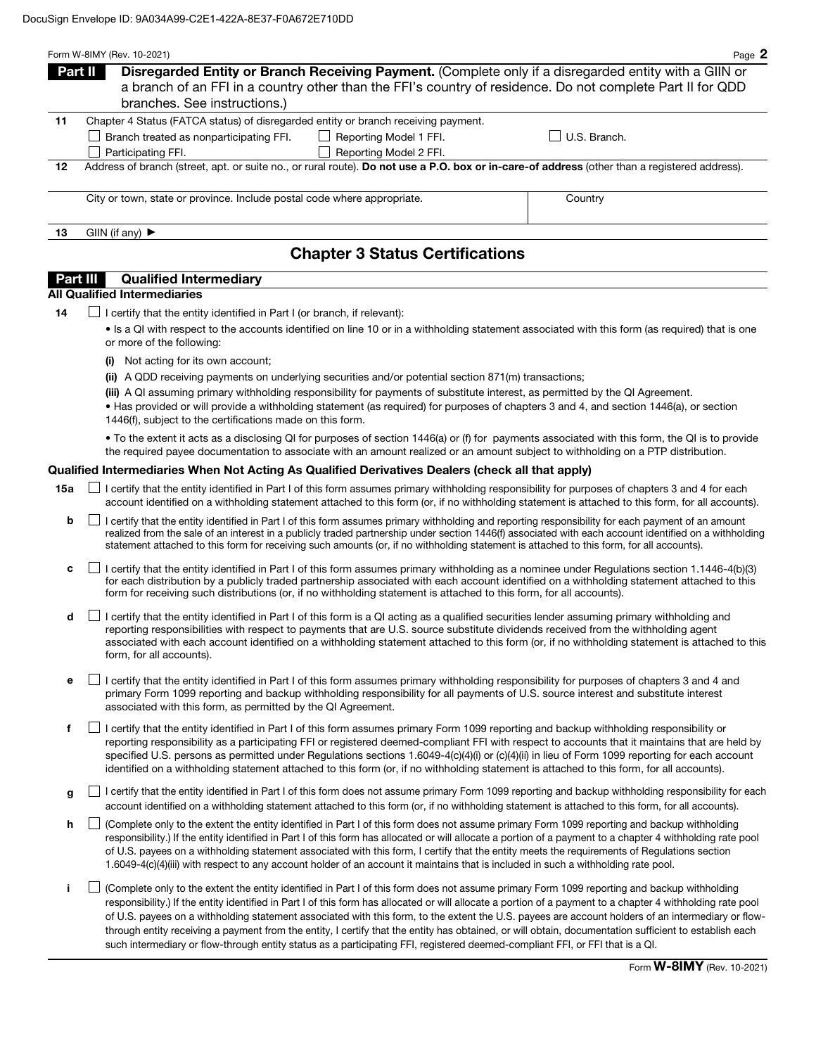|                                        | Form W-8IMY (Rev. 10-2021)                                                         |                        | Page 2                                                                                                                                        |  |  |  |
|----------------------------------------|------------------------------------------------------------------------------------|------------------------|-----------------------------------------------------------------------------------------------------------------------------------------------|--|--|--|
|                                        | Part II                                                                            |                        | Disregarded Entity or Branch Receiving Payment. (Complete only if a disregarded entity with a GIIN or                                         |  |  |  |
|                                        |                                                                                    |                        | a branch of an FFI in a country other than the FFI's country of residence. Do not complete Part II for QDD                                    |  |  |  |
|                                        | branches. See instructions.)                                                       |                        |                                                                                                                                               |  |  |  |
| 11                                     | Chapter 4 Status (FATCA status) of disregarded entity or branch receiving payment. |                        |                                                                                                                                               |  |  |  |
|                                        | Branch treated as nonparticipating FFI.                                            | Reporting Model 1 FFI. | U.S. Branch.                                                                                                                                  |  |  |  |
|                                        | Participating FFI.                                                                 | Reporting Model 2 FFI. |                                                                                                                                               |  |  |  |
| 12                                     |                                                                                    |                        | Address of branch (street, apt. or suite no., or rural route). Do not use a P.O. box or in-care-of address (other than a registered address). |  |  |  |
|                                        |                                                                                    |                        |                                                                                                                                               |  |  |  |
|                                        | City or town, state or province. Include postal code where appropriate.            |                        | Country                                                                                                                                       |  |  |  |
| 13                                     | GIIN (if any) $\blacktriangleright$                                                |                        |                                                                                                                                               |  |  |  |
| <b>Chapter 3 Status Certifications</b> |                                                                                    |                        |                                                                                                                                               |  |  |  |

## **Part III** Qualified Intermediary

## All Qualified Intermediaries

 $14$   $\Box$  I certify that the entity identified in Part I (or branch, if relevant):

• Is a QI with respect to the accounts identified on line 10 or in a withholding statement associated with this form (as required) that is one or more of the following:

- (i) Not acting for its own account;
- (ii) A QDD receiving payments on underlying securities and/or potential section 871(m) transactions;

(iii) A QI assuming primary withholding responsibility for payments of substitute interest, as permitted by the QI Agreement.

• Has provided or will provide a withholding statement (as required) for purposes of chapters 3 and 4, and section 1446(a), or section 1446(f), subject to the certifications made on this form.

• To the extent it acts as a disclosing QI for purposes of section 1446(a) or (f) for payments associated with this form, the QI is to provide the required payee documentation to associate with an amount realized or an amount subject to withholding on a PTP distribution.

## Qualified Intermediaries When Not Acting As Qualified Derivatives Dealers (check all that apply)

- **15a** □ certify that the entity identified in Part I of this form assumes primary withholding responsibility for purposes of chapters 3 and 4 for each account identified on a withholding statement attached to this form (or, if no withholding statement is attached to this form, for all accounts).
	- **b**  $\Box$  I certify that the entity identified in Part I of this form assumes primary withholding and reporting responsibility for each payment of an amount realized from the sale of an interest in a publicly traded partnership under section 1446(f) associated with each account identified on a withholding statement attached to this form for receiving such amounts (or, if no withholding statement is attached to this form, for all accounts).
	- c  $\Box$  I certify that the entity identified in Part I of this form assumes primary withholding as a nominee under Regulations section 1.1446-4(b)(3) for each distribution by a publicly traded partnership associated with each account identified on a withholding statement attached to this form for receiving such distributions (or, if no withholding statement is attached to this form, for all accounts).
	- $\mathsf{d}$  I certify that the entity identified in Part I of this form is a QI acting as a qualified securities lender assuming primary withholding and reporting responsibilities with respect to payments that are U.S. source substitute dividends received from the withholding agent associated with each account identified on a withholding statement attached to this form (or, if no withholding statement is attached to this form, for all accounts).
	- e  $\Box$  I certify that the entity identified in Part I of this form assumes primary withholding responsibility for purposes of chapters 3 and 4 and primary Form 1099 reporting and backup withholding responsibility for all payments of U.S. source interest and substitute interest associated with this form, as permitted by the QI Agreement.
	- f  $\Box$  I certify that the entity identified in Part I of this form assumes primary Form 1099 reporting and backup withholding responsibility or reporting responsibility as a participating FFI or registered deemed-compliant FFI with respect to accounts that it maintains that are held by specified U.S. persons as permitted under Regulations sections 1.6049-4(c)(4)(i) or (c)(4)(ii) in lieu of Form 1099 reporting for each account identified on a withholding statement attached to this form (or, if no withholding statement is attached to this form, for all accounts).
	- q I certify that the entity identified in Part I of this form does not assume primary Form 1099 reporting and backup withholding responsibility for each account identified on a withholding statement attached to this form (or, if no withholding statement is attached to this form, for all accounts).
	- h  $\Box$  (Complete only to the extent the entity identified in Part I of this form does not assume primary Form 1099 reporting and backup withholding responsibility.) If the entity identified in Part I of this form has allocated or will allocate a portion of a payment to a chapter 4 withholding rate pool of U.S. payees on a withholding statement associated with this form, I certify that the entity meets the requirements of Regulations section 1.6049-4(c)(4)(iii) with respect to any account holder of an account it maintains that is included in such a withholding rate pool.
	- i (Complete only to the extent the entity identified in Part I of this form does not assume primary Form 1099 reporting and backup withholding responsibility.) If the entity identified in Part I of this form has allocated or will allocate a portion of a payment to a chapter 4 withholding rate pool of U.S. payees on a withholding statement associated with this form, to the extent the U.S. payees are account holders of an intermediary or flowthrough entity receiving a payment from the entity, I certify that the entity has obtained, or will obtain, documentation sufficient to establish each such intermediary or flow-through entity status as a participating FFI, registered deemed-compliant FFI, or FFI that is a QI.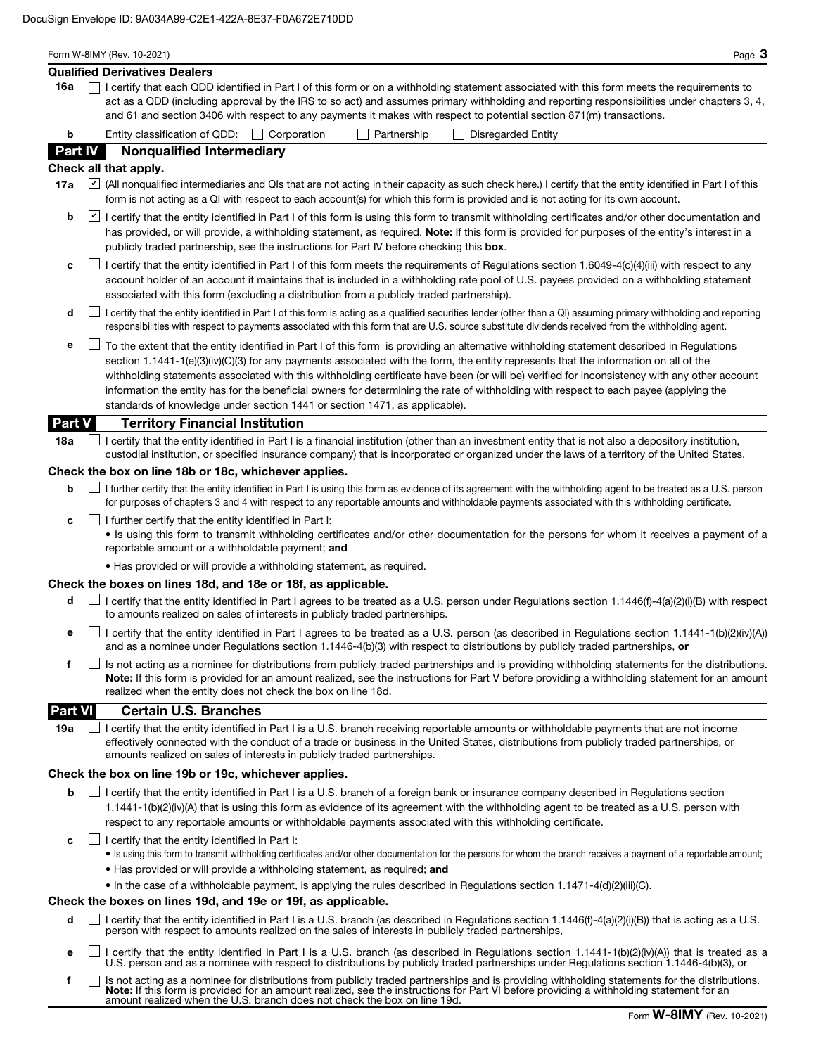|                | Form W-8IMY (Rev. 10-2021)<br>Page $3$                                                                                                                                                                                                                                                                                                                                                                                                                                                                                                                                                                                                                    |
|----------------|-----------------------------------------------------------------------------------------------------------------------------------------------------------------------------------------------------------------------------------------------------------------------------------------------------------------------------------------------------------------------------------------------------------------------------------------------------------------------------------------------------------------------------------------------------------------------------------------------------------------------------------------------------------|
|                | <b>Qualified Derivatives Dealers</b>                                                                                                                                                                                                                                                                                                                                                                                                                                                                                                                                                                                                                      |
| 16a            | I certify that each QDD identified in Part I of this form or on a withholding statement associated with this form meets the requirements to<br>act as a QDD (including approval by the IRS to so act) and assumes primary withholding and reporting responsibilities under chapters 3, 4,<br>and 61 and section 3406 with respect to any payments it makes with respect to potential section 871(m) transactions.                                                                                                                                                                                                                                         |
| b              | Entity classification of QDD:   Corporation<br>Partnership<br><b>Disregarded Entity</b>                                                                                                                                                                                                                                                                                                                                                                                                                                                                                                                                                                   |
| Part IV        | <b>Nonqualified Intermediary</b>                                                                                                                                                                                                                                                                                                                                                                                                                                                                                                                                                                                                                          |
|                | Check all that apply.                                                                                                                                                                                                                                                                                                                                                                                                                                                                                                                                                                                                                                     |
| 17a            | All nonqualified intermediaries and QIs that are not acting in their capacity as such check here.) I certify that the entity identified in Part I of this<br>form is not acting as a QI with respect to each account(s) for which this form is provided and is not acting for its own account.                                                                                                                                                                                                                                                                                                                                                            |
| b              | I certify that the entity identified in Part I of this form is using this form to transmit withholding certificates and/or other documentation and<br>has provided, or will provide, a withholding statement, as required. <b>Note:</b> If this form is provided for purposes of the entity's interest in a<br>publicly traded partnership, see the instructions for Part IV before checking this box.                                                                                                                                                                                                                                                    |
| c              | $\Box$ I certify that the entity identified in Part I of this form meets the requirements of Regulations section 1.6049-4(c)(4)(iii) with respect to any<br>account holder of an account it maintains that is included in a withholding rate pool of U.S. payees provided on a withholding statement<br>associated with this form (excluding a distribution from a publicly traded partnership).                                                                                                                                                                                                                                                          |
| d              | I certify that the entity identified in Part I of this form is acting as a qualified securities lender (other than a QI) assuming primary withholding and reporting<br>responsibilities with respect to payments associated with this form that are U.S. source substitute dividends received from the withholding agent.                                                                                                                                                                                                                                                                                                                                 |
| е              | To the extent that the entity identified in Part I of this form is providing an alternative withholding statement described in Regulations<br>section 1.1441-1(e)(3)(iv)(C)(3) for any payments associated with the form, the entity represents that the information on all of the<br>withholding statements associated with this withholding certificate have been (or will be) verified for inconsistency with any other account<br>information the entity has for the beneficial owners for determining the rate of withholding with respect to each payee (applying the<br>standards of knowledge under section 1441 or section 1471, as applicable). |
| Part V         | <b>Territory Financial Institution</b>                                                                                                                                                                                                                                                                                                                                                                                                                                                                                                                                                                                                                    |
| 18a            | I certify that the entity identified in Part I is a financial institution (other than an investment entity that is not also a depository institution,<br>custodial institution, or specified insurance company) that is incorporated or organized under the laws of a territory of the United States.                                                                                                                                                                                                                                                                                                                                                     |
|                | Check the box on line 18b or 18c, whichever applies.                                                                                                                                                                                                                                                                                                                                                                                                                                                                                                                                                                                                      |
| b              | I further certify that the entity identified in Part I is using this form as evidence of its agreement with the withholding agent to be treated as a U.S. person<br>for purposes of chapters 3 and 4 with respect to any reportable amounts and withholdable payments associated with this withholding certificate.                                                                                                                                                                                                                                                                                                                                       |
| c              | I further certify that the entity identified in Part I:<br>. Is using this form to transmit withholding certificates and/or other documentation for the persons for whom it receives a payment of a<br>reportable amount or a withholdable payment; and                                                                                                                                                                                                                                                                                                                                                                                                   |
|                | . Has provided or will provide a withholding statement, as required.                                                                                                                                                                                                                                                                                                                                                                                                                                                                                                                                                                                      |
|                | Check the boxes on lines 18d, and 18e or 18f, as applicable.                                                                                                                                                                                                                                                                                                                                                                                                                                                                                                                                                                                              |
| d              | I certify that the entity identified in Part I agrees to be treated as a U.S. person under Regulations section 1.1446(f)-4(a)(2)(i)(B) with respect<br>to amounts realized on sales of interests in publicly traded partnerships.                                                                                                                                                                                                                                                                                                                                                                                                                         |
| е              | I certify that the entity identified in Part I agrees to be treated as a U.S. person (as described in Regulations section 1.1441-1(b)(2)(iv)(A))<br>and as a nominee under Regulations section 1.1446-4(b)(3) with respect to distributions by publicly traded partnerships, or                                                                                                                                                                                                                                                                                                                                                                           |
| f              | Is not acting as a nominee for distributions from publicly traded partnerships and is providing withholding statements for the distributions.<br>Note: If this form is provided for an amount realized, see the instructions for Part V before providing a withholding statement for an amount<br>realized when the entity does not check the box on line 18d.                                                                                                                                                                                                                                                                                            |
| <b>Part VI</b> | <b>Certain U.S. Branches</b>                                                                                                                                                                                                                                                                                                                                                                                                                                                                                                                                                                                                                              |
| 19a            | I certify that the entity identified in Part I is a U.S. branch receiving reportable amounts or withholdable payments that are not income<br>effectively connected with the conduct of a trade or business in the United States, distributions from publicly traded partnerships, or<br>amounts realized on sales of interests in publicly traded partnerships.                                                                                                                                                                                                                                                                                           |
|                | Check the box on line 19b or 19c, whichever applies.                                                                                                                                                                                                                                                                                                                                                                                                                                                                                                                                                                                                      |
| b              | I certify that the entity identified in Part I is a U.S. branch of a foreign bank or insurance company described in Regulations section<br>1.1441-1(b)(2)(iv)(A) that is using this form as evidence of its agreement with the withholding agent to be treated as a U.S. person with<br>respect to any reportable amounts or withholdable payments associated with this withholding certificate.                                                                                                                                                                                                                                                          |
| c              | $\Box$ I certify that the entity identified in Part I:<br>. Is using this form to transmit withholding certificates and/or other documentation for the persons for whom the branch receives a payment of a reportable amount;                                                                                                                                                                                                                                                                                                                                                                                                                             |
|                | . Has provided or will provide a withholding statement, as required; and                                                                                                                                                                                                                                                                                                                                                                                                                                                                                                                                                                                  |
|                | • In the case of a withholdable payment, is applying the rules described in Regulations section 1.1471-4(d)(2)(iii)(C).<br>Check the boxes on lines 19d, and 19e or 19f, as applicable.                                                                                                                                                                                                                                                                                                                                                                                                                                                                   |
|                |                                                                                                                                                                                                                                                                                                                                                                                                                                                                                                                                                                                                                                                           |
| d              | I certify that the entity identified in Part I is a U.S. branch (as described in Regulations section 1.1446(f)-4(a)(2)(i)(B)) that is acting as a U.S.<br>person with respect to amounts realized on the sales of interests in publicly traded partnerships,                                                                                                                                                                                                                                                                                                                                                                                              |

- **e**  $\Box$  I certify that the entity identified in Part I is a U.S. branch (as described in Regulations section 1.1441-1(b)(2)(iv)(A)) that is treated as a U.S. person and as a nominee with respect to distributions by publicly traded partnerships under Regulations section 1.1446-4(b)(3), or
- Is not acting as a nominee for distributions from publicly traded partnerships and is providing withholding statements for the distributions.<br>**Note:** If this form is provided for an amount realized, see the instructions fo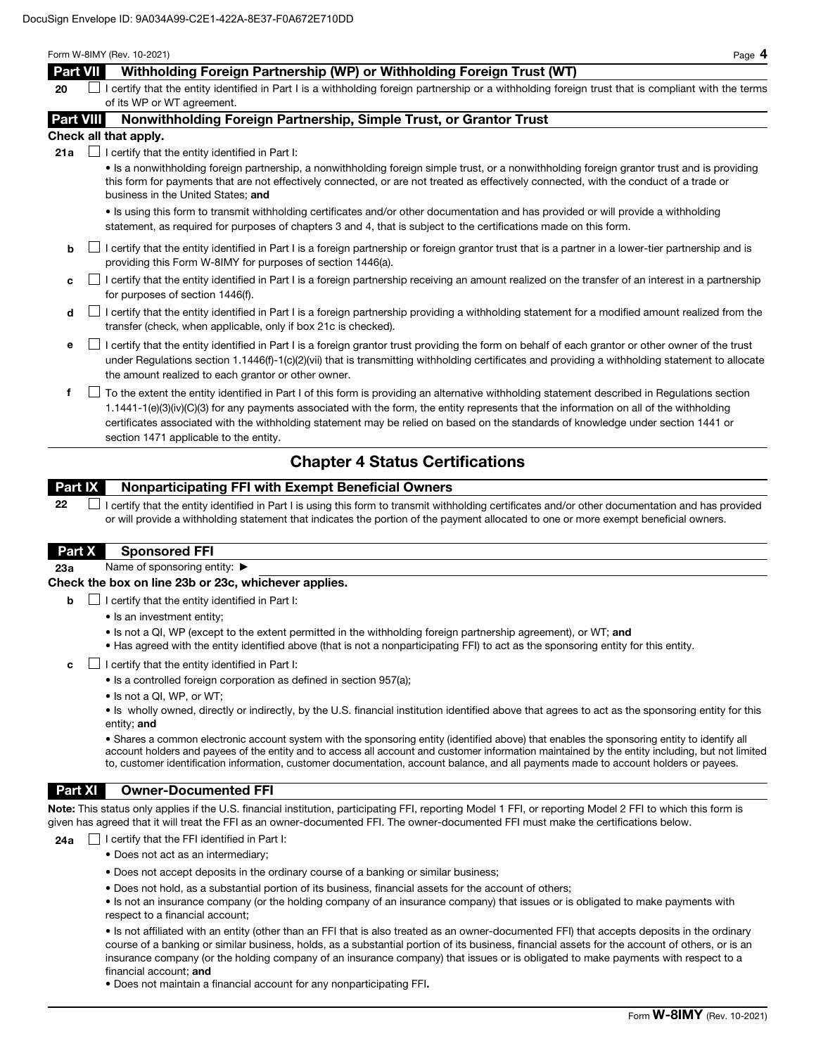#### Form W-8IMY (Rev. 10-2021) Page 4

# Part VII Withholding Foreign Partnership (WP) or Withholding Foreign Trust (WT)

 $20$  I certify that the entity identified in Part I is a withholding foreign partnership or a withholding foreign trust that is compliant with the terms of its WP or WT agreement.

## Part VIII Nonwithholding Foreign Partnership, Simple Trust, or Grantor Trust

#### Check all that apply.

**21a**  $\Box$  I certify that the entity identified in Part I:

• Is a nonwithholding foreign partnership, a nonwithholding foreign simple trust, or a nonwithholding foreign grantor trust and is providing this form for payments that are not effectively connected, or are not treated as effectively connected, with the conduct of a trade or business in the United States; and

• Is using this form to transmit withholding certificates and/or other documentation and has provided or will provide a withholding statement, as required for purposes of chapters 3 and 4, that is subject to the certifications made on this form.

- $\mathsf{b}$  I certify that the entity identified in Part I is a foreign partnership or foreign grantor trust that is a partner in a lower-tier partnership and is providing this Form W-8IMY for purposes of section 1446(a).
- $c \Box$  I certify that the entity identified in Part I is a foreign partnership receiving an amount realized on the transfer of an interest in a partnership for purposes of section 1446(f).
- $\mathsf d$  I certify that the entity identified in Part I is a foreign partnership providing a withholding statement for a modified amount realized from the transfer (check, when applicable, only if box 21c is checked).
- e I certify that the entity identified in Part I is a foreign grantor trust providing the form on behalf of each grantor or other owner of the trust under Regulations section 1.1446(f)-1(c)(2)(vii) that is transmitting withholding certificates and providing a withholding statement to allocate the amount realized to each grantor or other owner.
- f To the extent the entity identified in Part I of this form is providing an alternative withholding statement described in Regulations section 1.1441-1(e)(3)(iv)(C)(3) for any payments associated with the form, the entity represents that the information on all of the withholding certificates associated with the withholding statement may be relied on based on the standards of knowledge under section 1441 or section 1471 applicable to the entity.

# Chapter 4 Status Certifications

# Part IX Nonparticipating FFI with Exempt Beneficial Owners

 $22$   $\Box$  I certify that the entity identified in Part I is using this form to transmit withholding certificates and/or other documentation and has provided or will provide a withholding statement that indicates the portion of the payment allocated to one or more exempt beneficial owners.

## Part X Sponsored FFI

23a Name of sponsoring entity: ▶

## Check the box on line 23b or 23c, whichever applies.

- $\Box$  I certify that the entity identified in Part I:
	- Is an investment entity;
	- Is not a QI, WP (except to the extent permitted in the withholding foreign partnership agreement), or WT; and
	- Has agreed with the entity identified above (that is not a nonparticipating FFI) to act as the sponsoring entity for this entity.
- c  $\Box$  I certify that the entity identified in Part I:
	- Is a controlled foreign corporation as defined in section 957(a);
	- Is not a QI, WP, or WT;

• Is wholly owned, directly or indirectly, by the U.S. financial institution identified above that agrees to act as the sponsoring entity for this entity; and

• Shares a common electronic account system with the sponsoring entity (identified above) that enables the sponsoring entity to identify all account holders and payees of the entity and to access all account and customer information maintained by the entity including, but not limited to, customer identification information, customer documentation, account balance, and all payments made to account holders or payees.

## Part XI Owner-Documented FFI

Note: This status only applies if the U.S. financial institution, participating FFI, reporting Model 1 FFI, or reporting Model 2 FFI to which this form is given has agreed that it will treat the FFI as an owner-documented FFI. The owner-documented FFI must make the certifications below.

**24a**  $\Box$  I certify that the FFI identified in Part I:

- Does not act as an intermediary;
- Does not accept deposits in the ordinary course of a banking or similar business;
- Does not hold, as a substantial portion of its business, financial assets for the account of others;
- Is not an insurance company (or the holding company of an insurance company) that issues or is obligated to make payments with respect to a financial account;

• Is not affiliated with an entity (other than an FFI that is also treated as an owner-documented FFI) that accepts deposits in the ordinary course of a banking or similar business, holds, as a substantial portion of its business, financial assets for the account of others, or is an insurance company (or the holding company of an insurance company) that issues or is obligated to make payments with respect to a financial account; and

• Does not maintain a financial account for any nonparticipating FFI.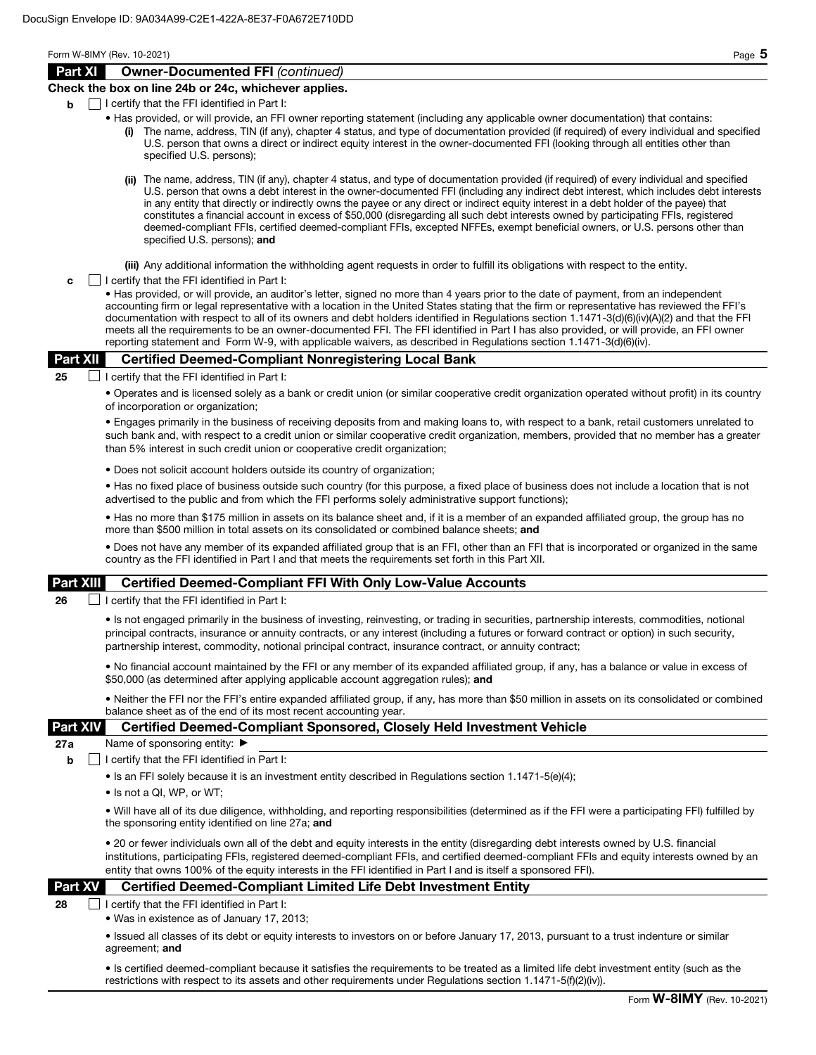Form W-8IMY (Rev. 10-2021) Page 5

## Part XI Owner-Documented FFI *(continued)*

## Check the box on line 24b or 24c, whichever applies.

- $\mathbf{b}$   $\Box$  I certify that the FFI identified in Part I:
	- Has provided, or will provide, an FFI owner reporting statement (including any applicable owner documentation) that contains:
		- The name, address, TIN (if any), chapter 4 status, and type of documentation provided (if required) of every individual and specified U.S. person that owns a direct or indirect equity interest in the owner-documented FFI (looking through all entities other than specified U.S. persons);
		- (ii) The name, address, TIN (if any), chapter 4 status, and type of documentation provided (if required) of every individual and specified U.S. person that owns a debt interest in the owner-documented FFI (including any indirect debt interest, which includes debt interests in any entity that directly or indirectly owns the payee or any direct or indirect equity interest in a debt holder of the payee) that constitutes a financial account in excess of \$50,000 (disregarding all such debt interests owned by participating FFIs, registered deemed-compliant FFIs, certified deemed-compliant FFIs, excepted NFFEs, exempt beneficial owners, or U.S. persons other than specified U.S. persons); and

(iii) Any additional information the withholding agent requests in order to fulfill its obligations with respect to the entity.

 $\mathbf{c}$   $\Box$  I certify that the FFI identified in Part I:

• Has provided, or will provide, an auditor's letter, signed no more than 4 years prior to the date of payment, from an independent accounting firm or legal representative with a location in the United States stating that the firm or representative has reviewed the FFI's documentation with respect to all of its owners and debt holders identified in Regulations section 1.1471-3(d)(6)(iv)(A)(2) and that the FFI meets all the requirements to be an owner-documented FFI. The FFI identified in Part I has also provided, or will provide, an FFI owner reporting statement and Form W-9, with applicable waivers, as described in Regulations section 1.1471-3(d)(6)(iv).

## Part XII Certified Deemed-Compliant Nonregistering Local Bank

25  $\Box$  I certify that the FFI identified in Part I:

• Operates and is licensed solely as a bank or credit union (or similar cooperative credit organization operated without profit) in its country of incorporation or organization;

• Engages primarily in the business of receiving deposits from and making loans to, with respect to a bank, retail customers unrelated to such bank and, with respect to a credit union or similar cooperative credit organization, members, provided that no member has a greater than 5% interest in such credit union or cooperative credit organization;

• Does not solicit account holders outside its country of organization;

• Has no fixed place of business outside such country (for this purpose, a fixed place of business does not include a location that is not advertised to the public and from which the FFI performs solely administrative support functions);

• Has no more than \$175 million in assets on its balance sheet and, if it is a member of an expanded affiliated group, the group has no more than \$500 million in total assets on its consolidated or combined balance sheets; and

• Does not have any member of its expanded affiliated group that is an FFI, other than an FFI that is incorporated or organized in the same country as the FFI identified in Part I and that meets the requirements set forth in this Part XII.

## Part XIII Certified Deemed-Compliant FFI With Only Low-Value Accounts

**26**  $\Box$  I certify that the FFI identified in Part I:

• Is not engaged primarily in the business of investing, reinvesting, or trading in securities, partnership interests, commodities, notional principal contracts, insurance or annuity contracts, or any interest (including a futures or forward contract or option) in such security, partnership interest, commodity, notional principal contract, insurance contract, or annuity contract;

• No financial account maintained by the FFI or any member of its expanded affiliated group, if any, has a balance or value in excess of \$50,000 (as determined after applying applicable account aggregation rules); and

• Neither the FFI nor the FFI's entire expanded affiliated group, if any, has more than \$50 million in assets on its consolidated or combined balance sheet as of the end of its most recent accounting year.

## Part XIV Certified Deemed-Compliant Sponsored, Closely Held Investment Vehicle

27a Name of sponsoring entity: ▶

 $\mathbf{b}$  | I certify that the FFI identified in Part I:

• Is an FFI solely because it is an investment entity described in Regulations section 1.1471-5(e)(4);

• Is not a QI, WP, or WT;

• Will have all of its due diligence, withholding, and reporting responsibilities (determined as if the FFI were a participating FFI) fulfilled by the sponsoring entity identified on line 27a; and

• 20 or fewer individuals own all of the debt and equity interests in the entity (disregarding debt interests owned by U.S. financial institutions, participating FFIs, registered deemed-compliant FFIs, and certified deemed-compliant FFIs and equity interests owned by an entity that owns 100% of the equity interests in the FFI identified in Part I and is itself a sponsored FFI).

## Part XV Certified Deemed-Compliant Limited Life Debt Investment Entity

 $28$  | | certify that the FFI identified in Part I:

• Was in existence as of January 17, 2013;

• Issued all classes of its debt or equity interests to investors on or before January 17, 2013, pursuant to a trust indenture or similar agreement; and

• Is certified deemed-compliant because it satisfies the requirements to be treated as a limited life debt investment entity (such as the restrictions with respect to its assets and other requirements under Regulations section 1.1471-5(f)(2)(iv)).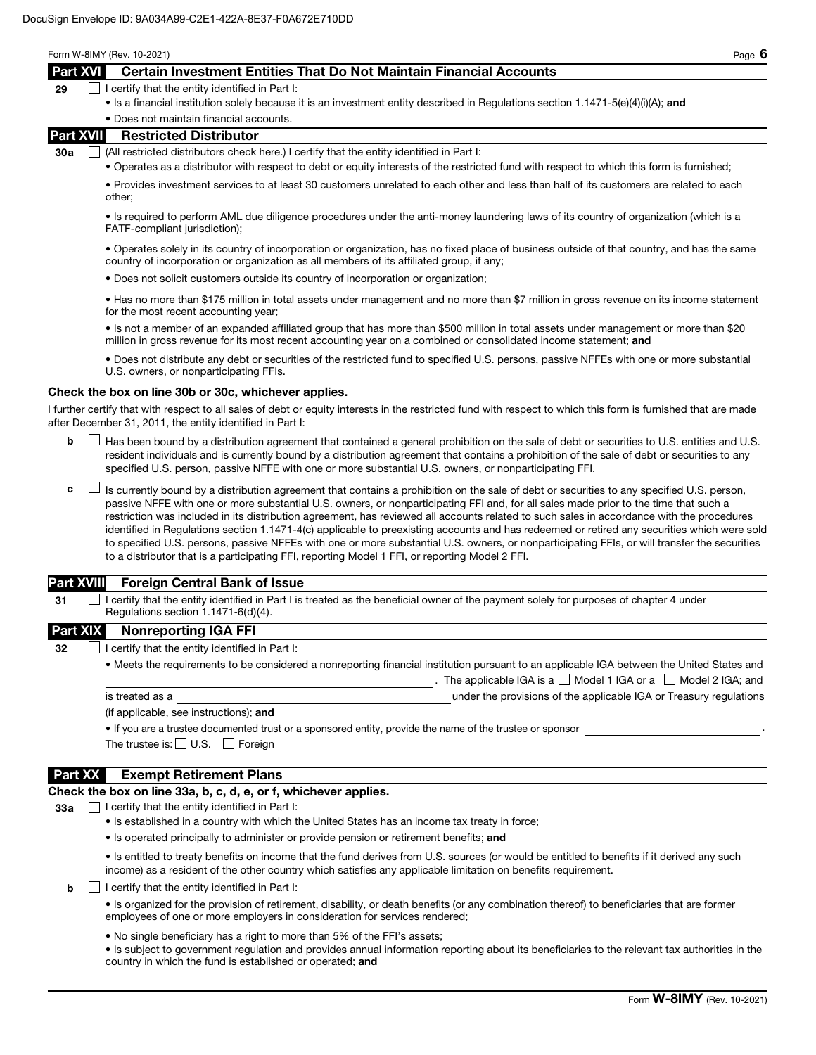Form W-8IMY (Rev. 10-2021) Page 6

## Part XVI Certain Investment Entities That Do Not Maintain Financial Accounts

| 29<br>$\Box$ I certify that the entity identified in Part I: |  |
|--------------------------------------------------------------|--|

• Is a financial institution solely because it is an investment entity described in Regulations section 1.1471-5(e)(4)(i)(A); and

#### • Does not maintain financial accounts.

## Part XVII Restricted Distributor

30a  $\Box$  (All restricted distributors check here.) I certify that the entity identified in Part I:

• Operates as a distributor with respect to debt or equity interests of the restricted fund with respect to which this form is furnished;

• Provides investment services to at least 30 customers unrelated to each other and less than half of its customers are related to each other;

• Is required to perform AML due diligence procedures under the anti-money laundering laws of its country of organization (which is a FATF-compliant jurisdiction);

• Operates solely in its country of incorporation or organization, has no fixed place of business outside of that country, and has the same country of incorporation or organization as all members of its affiliated group, if any;

• Does not solicit customers outside its country of incorporation or organization;

• Has no more than \$175 million in total assets under management and no more than \$7 million in gross revenue on its income statement for the most recent accounting year;

• Is not a member of an expanded affiliated group that has more than \$500 million in total assets under management or more than \$20 million in gross revenue for its most recent accounting year on a combined or consolidated income statement; and

• Does not distribute any debt or securities of the restricted fund to specified U.S. persons, passive NFFEs with one or more substantial U.S. owners, or nonparticipating FFIs.

#### Check the box on line 30b or 30c, whichever applies.

I further certify that with respect to all sales of debt or equity interests in the restricted fund with respect to which this form is furnished that are made after December 31, 2011, the entity identified in Part I:

- $\mathsf{b}$   $\Box$  Has been bound by a distribution agreement that contained a general prohibition on the sale of debt or securities to U.S. entities and U.S. resident individuals and is currently bound by a distribution agreement that contains a prohibition of the sale of debt or securities to any specified U.S. person, passive NFFE with one or more substantial U.S. owners, or nonparticipating FFI.
- $\mathsf{c}$   $\Box$  Is currently bound by a distribution agreement that contains a prohibition on the sale of debt or securities to any specified U.S. person, passive NFFE with one or more substantial U.S. owners, or nonparticipating FFI and, for all sales made prior to the time that such a restriction was included in its distribution agreement, has reviewed all accounts related to such sales in accordance with the procedures identified in Regulations section 1.1471-4(c) applicable to preexisting accounts and has redeemed or retired any securities which were sold to specified U.S. persons, passive NFFEs with one or more substantial U.S. owners, or nonparticipating FFIs, or will transfer the securities to a distributor that is a participating FFI, reporting Model 1 FFI, or reporting Model 2 FFI.

## Part XVIII Foreign Central Bank of Issue

 $31$  I certify that the entity identified in Part I is treated as the beneficial owner of the payment solely for purposes of chapter 4 under Regulations section 1.1471-6(d)(4).

#### Part XIX Nonreporting IGA FFI

32  $\Box$  I certify that the entity identified in Part I:

• Meets the requirements to be considered a nonreporting financial institution pursuant to an applicable IGA between the United States and . The applicable IGA is a  $\Box$  Model 1 IGA or a  $\Box$  Model 2 IGA; and is treated as a under the provisions of the applicable IGA or Treasury regulations

(if applicable, see instructions); and

• If you are a trustee documented trust or a sponsored entity, provide the name of the trustee or sponsor .

The trustee is:  $\Box$  U.S.  $\Box$  Foreign

## Part XX Exempt Retirement Plans

## Check the box on line 33a, b, c, d, e, or f, whichever applies.

 $33a$   $\Box$  I certify that the entity identified in Part I:

- Is established in a country with which the United States has an income tax treaty in force;
- Is operated principally to administer or provide pension or retirement benefits; and

• Is entitled to treaty benefits on income that the fund derives from U.S. sources (or would be entitled to benefits if it derived any such income) as a resident of the other country which satisfies any applicable limitation on benefits requirement.

 $\mathbf{b}$   $\Box$  I certify that the entity identified in Part I:

• Is organized for the provision of retirement, disability, or death benefits (or any combination thereof) to beneficiaries that are former employees of one or more employers in consideration for services rendered;

• No single beneficiary has a right to more than 5% of the FFI's assets;

• Is subject to government regulation and provides annual information reporting about its beneficiaries to the relevant tax authorities in the country in which the fund is established or operated; and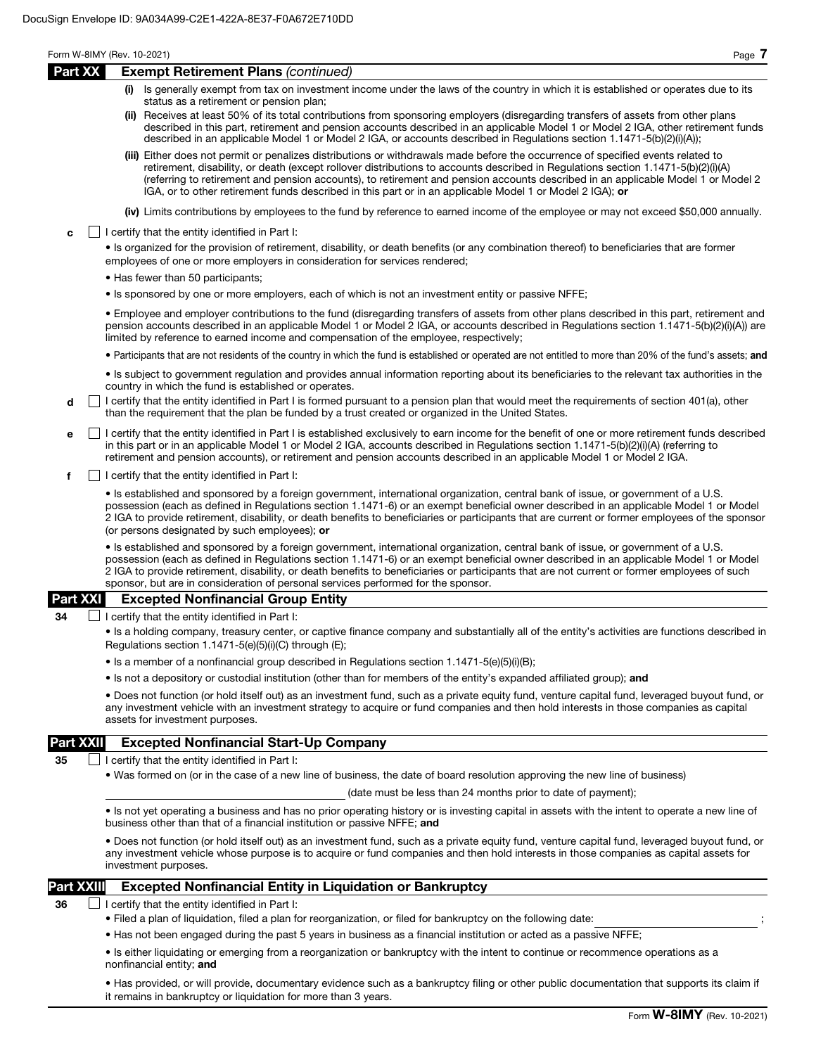# Part XXII Excepted Nonfinancial Start-Up Company

35  $\Box$  I certify that the entity identified in Part I:

• Was formed on (or in the case of a new line of business, the date of board resolution approving the new line of business)

(date must be less than 24 months prior to date of payment);

• Is not yet operating a business and has no prior operating history or is investing capital in assets with the intent to operate a new line of business other than that of a financial institution or passive NFFE; and

• Does not function (or hold itself out) as an investment fund, such as a private equity fund, venture capital fund, leveraged buyout fund, or any investment vehicle whose purpose is to acquire or fund companies and then hold interests in those companies as capital assets for investment purposes.

# Part XXIII Excepted Nonfinancial Entity in Liquidation or Bankruptcy

 $36$  | | certify that the entity identified in Part I:

- Filed a plan of liquidation, filed a plan for reorganization, or filed for bankruptcy on the following date: ;
- Has not been engaged during the past 5 years in business as a financial institution or acted as a passive NFFE;

• Is either liquidating or emerging from a reorganization or bankruptcy with the intent to continue or recommence operations as a nonfinancial entity; and

• Has provided, or will provide, documentary evidence such as a bankruptcy filing or other public documentation that supports its claim if it remains in bankruptcy or liquidation for more than 3 years.